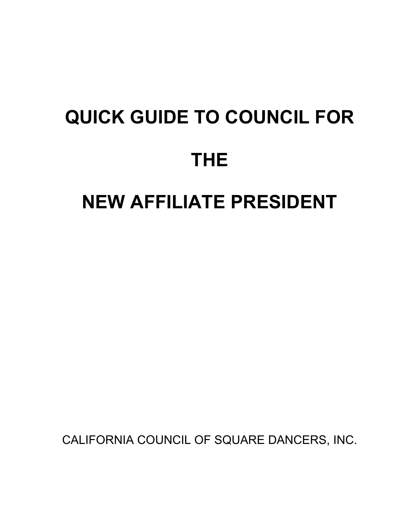# **QUICK GUIDE TO COUNCIL FOR THE NEW AFFILIATE PRESIDENT**

CALIFORNIA COUNCIL OF SQUARE DANCERS, INC.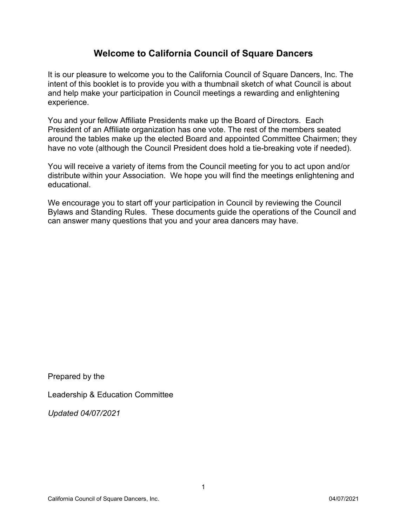## **Welcome to California Council of Square Dancers**

It is our pleasure to welcome you to the California Council of Square Dancers, Inc. The intent of this booklet is to provide you with a thumbnail sketch of what Council is about and help make your participation in Council meetings a rewarding and enlightening experience.

You and your fellow Affiliate Presidents make up the Board of Directors. Each President of an Affiliate organization has one vote. The rest of the members seated around the tables make up the elected Board and appointed Committee Chairmen; they have no vote (although the Council President does hold a tie-breaking vote if needed).

You will receive a variety of items from the Council meeting for you to act upon and/or distribute within your Association. We hope you will find the meetings enlightening and educational.

We encourage you to start off your participation in Council by reviewing the Council Bylaws and Standing Rules. These documents guide the operations of the Council and can answer many questions that you and your area dancers may have.

Prepared by the

Leadership & Education Committee

*Updated 04/07/2021*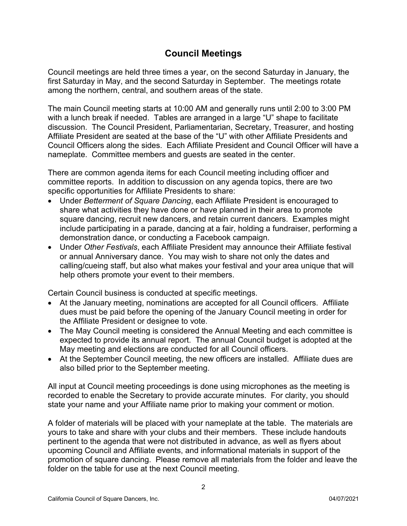## **Council Meetings**

Council meetings are held three times a year, on the second Saturday in January, the first Saturday in May, and the second Saturday in September. The meetings rotate among the northern, central, and southern areas of the state.

The main Council meeting starts at 10:00 AM and generally runs until 2:00 to 3:00 PM with a lunch break if needed. Tables are arranged in a large "U" shape to facilitate discussion. The Council President, Parliamentarian, Secretary, Treasurer, and hosting Affiliate President are seated at the base of the "U" with other Affiliate Presidents and Council Officers along the sides. Each Affiliate President and Council Officer will have a nameplate. Committee members and guests are seated in the center.

There are common agenda items for each Council meeting including officer and committee reports. In addition to discussion on any agenda topics, there are two specific opportunities for Affiliate Presidents to share:

- Under *Betterment of Square Dancing*, each Affiliate President is encouraged to share what activities they have done or have planned in their area to promote square dancing, recruit new dancers, and retain current dancers. Examples might include participating in a parade, dancing at a fair, holding a fundraiser, performing a demonstration dance, or conducting a Facebook campaign.
- Under *Other Festivals*, each Affiliate President may announce their Affiliate festival or annual Anniversary dance. You may wish to share not only the dates and calling/cueing staff, but also what makes your festival and your area unique that will help others promote your event to their members.

Certain Council business is conducted at specific meetings.

- At the January meeting, nominations are accepted for all Council officers. Affiliate dues must be paid before the opening of the January Council meeting in order for the Affiliate President or designee to vote.
- The May Council meeting is considered the Annual Meeting and each committee is expected to provide its annual report. The annual Council budget is adopted at the May meeting and elections are conducted for all Council officers.
- At the September Council meeting, the new officers are installed. Affiliate dues are also billed prior to the September meeting.

All input at Council meeting proceedings is done using microphones as the meeting is recorded to enable the Secretary to provide accurate minutes. For clarity, you should state your name and your Affiliate name prior to making your comment or motion.

A folder of materials will be placed with your nameplate at the table. The materials are yours to take and share with your clubs and their members. These include handouts pertinent to the agenda that were not distributed in advance, as well as flyers about upcoming Council and Affiliate events, and informational materials in support of the promotion of square dancing. Please remove all materials from the folder and leave the folder on the table for use at the next Council meeting.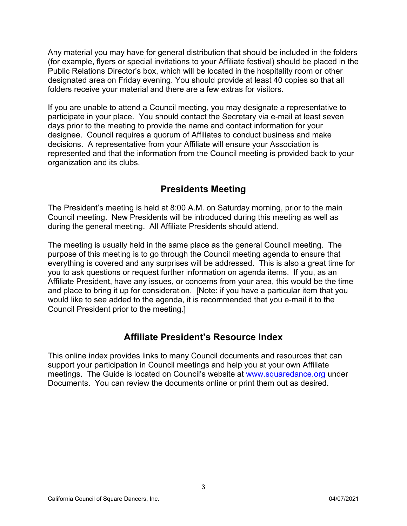Any material you may have for general distribution that should be included in the folders (for example, flyers or special invitations to your Affiliate festival) should be placed in the Public Relations Director's box, which will be located in the hospitality room or other designated area on Friday evening. You should provide at least 40 copies so that all folders receive your material and there are a few extras for visitors.

If you are unable to attend a Council meeting, you may designate a representative to participate in your place. You should contact the Secretary via e-mail at least seven days prior to the meeting to provide the name and contact information for your designee. Council requires a quorum of Affiliates to conduct business and make decisions. A representative from your Affiliate will ensure your Association is represented and that the information from the Council meeting is provided back to your organization and its clubs.

# **Presidents Meeting**

The President's meeting is held at 8:00 A.M. on Saturday morning, prior to the main Council meeting. New Presidents will be introduced during this meeting as well as during the general meeting. All Affiliate Presidents should attend.

The meeting is usually held in the same place as the general Council meeting. The purpose of this meeting is to go through the Council meeting agenda to ensure that everything is covered and any surprises will be addressed. This is also a great time for you to ask questions or request further information on agenda items. If you, as an Affiliate President, have any issues, or concerns from your area, this would be the time and place to bring it up for consideration. [Note: if you have a particular item that you would like to see added to the agenda, it is recommended that you e-mail it to the Council President prior to the meeting.]

# **Affiliate President's Resource Index**

This online index provides links to many Council documents and resources that can support your participation in Council meetings and help you at your own Affiliate meetings. The Guide is located on Council's website at [www.squaredance.org](http://www.squaredance.org/) under Documents. You can review the documents online or print them out as desired.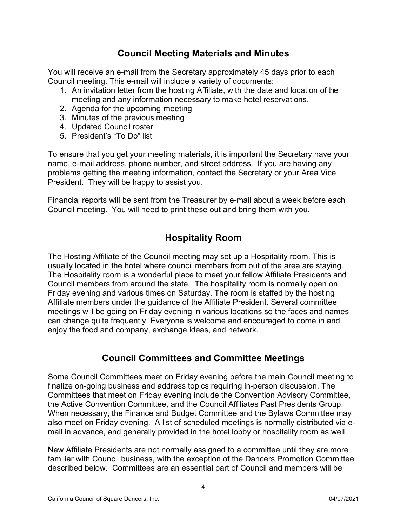## **Council Meeting Materials and Minutes**

You will receive an e-mail from the Secretary approximately 45 days prior to each Council meeting. This e-mail will include a variety of documents:

- 1. An invitation letter from the hosting Affiliate, with the date and location of the meeting and any information necessary to make hotel reservations.
- 2. Agenda for the upcoming meeting
- 3. Minutes of the previous meeting
- 4. Updated Council roster
- 5. President's "To Do" list

To ensure that you get your meeting materials, it is important the Secretary have your name, e-mail address, phone number, and street address. If you are having any problems getting the meeting information, contact the Secretary or your Area Vice President. They will be happy to assist you.

Financial reports will be sent from the Treasurer by e-mail about a week before each Council meeting. You will need to print these out and bring them with you.

# **Hospitality Room**

The Hosting Affiliate of the Council meeting may set up a Hospitality room. This is usually located in the hotel where council members from out of the area are staying. The Hospitality room is a wonderful place to meet your fellow Affiliate Presidents and Council members from around the state. The hospitality room is normally open on Friday evening and various times on Saturday. The room is staffed by the hosting Affiliate members under the guidance of the Affiliate President. Several committee meetings will be going on Friday evening in various locations so the faces and names can change quite frequently. Everyone is welcome and encouraged to come in and enjoy the food and company, exchange ideas, and network.

## **Council Committees and Committee Meetings**

Some Council Committees meet on Friday evening before the main Council meeting to finalize on-going business and address topics requiring in-person discussion. The Committees that meet on Friday evening include the Convention Advisory Committee, the Active Convention Committee, and the Council Affiliates Past Presidents Group. When necessary, the Finance and Budget Committee and the Bylaws Committee may also meet on Friday evening. A list of scheduled meetings is normally distributed via email in advance, and generally provided in the hotel lobby or hospitality room as well.

New Affiliate Presidents are not normally assigned to a committee until they are more familiar with Council business, with the exception of the Dancers Promotion Committee described below. Committees are an essential part of Council and members will be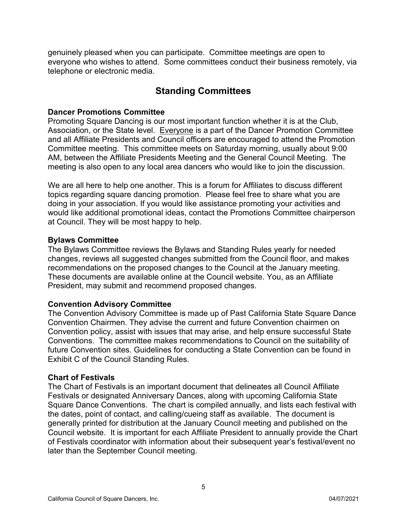genuinely pleased when you can participate. Committee meetings are open to everyone who wishes to attend. Some committees conduct their business remotely, via telephone or electronic media.

# **Standing Committees**

#### **Dancer Promotions Committee**

Promoting Square Dancing is our most important function whether it is at the Club, Association, or the State level. Everyone is a part of the Dancer Promotion Committee and all Affiliate Presidents and Council officers are encouraged to attend the Promotion Committee meeting. This committee meets on Saturday morning, usually about 9:00 AM, between the Affiliate Presidents Meeting and the General Council Meeting. The meeting is also open to any local area dancers who would like to join the discussion.

We are all here to help one another. This is a forum for Affiliates to discuss different topics regarding square dancing promotion. Please feel free to share what you are doing in your association. If you would like assistance promoting your activities and would like additional promotional ideas, contact the Promotions Committee chairperson at Council. They will be most happy to help.

#### **Bylaws Committee**

The Bylaws Committee reviews the Bylaws and Standing Rules yearly for needed changes, reviews all suggested changes submitted from the Council floor, and makes recommendations on the proposed changes to the Council at the January meeting. These documents are available online at the Council website. You, as an Affiliate President, may submit and recommend proposed changes.

#### **Convention Advisory Committee**

The Convention Advisory Committee is made up of Past California State Square Dance Convention Chairmen. They advise the current and future Convention chairmen on Convention policy, assist with issues that may arise, and help ensure successful State Conventions. The committee makes recommendations to Council on the suitability of future Convention sites. Guidelines for conducting a State Convention can be found in Exhibit C of the Council Standing Rules.

#### **Chart of Festivals**

The Chart of Festivals is an important document that delineates all Council Affiliate Festivals or designated Anniversary Dances, along with upcoming California State Square Dance Conventions. The chart is compiled annually, and lists each festival with the dates, point of contact, and calling/cueing staff as available. The document is generally printed for distribution at the January Council meeting and published on the Council website. It is important for each Affiliate President to annually provide the Chart of Festivals coordinator with information about their subsequent year's festival/event no later than the September Council meeting.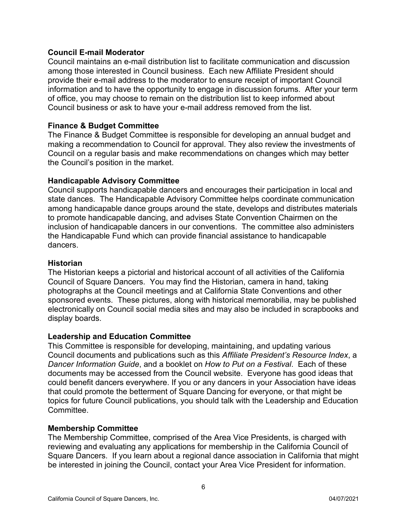#### **Council E-mail Moderator**

Council maintains an e-mail distribution list to facilitate communication and discussion among those interested in Council business. Each new Affiliate President should provide their e-mail address to the moderator to ensure receipt of important Council information and to have the opportunity to engage in discussion forums. After your term of office, you may choose to remain on the distribution list to keep informed about Council business or ask to have your e-mail address removed from the list.

#### **Finance & Budget Committee**

The Finance & Budget Committee is responsible for developing an annual budget and making a recommendation to Council for approval. They also review the investments of Council on a regular basis and make recommendations on changes which may better the Council's position in the market.

#### **Handicapable Advisory Committee**

Council supports handicapable dancers and encourages their participation in local and state dances. The Handicapable Advisory Committee helps coordinate communication among handicapable dance groups around the state, develops and distributes materials to promote handicapable dancing, and advises State Convention Chairmen on the inclusion of handicapable dancers in our conventions. The committee also administers the Handicapable Fund which can provide financial assistance to handicapable dancers.

#### **Historian**

The Historian keeps a pictorial and historical account of all activities of the California Council of Square Dancers. You may find the Historian, camera in hand, taking photographs at the Council meetings and at California State Conventions and other sponsored events. These pictures, along with historical memorabilia, may be published electronically on Council social media sites and may also be included in scrapbooks and display boards.

#### **Leadership and Education Committee**

This Committee is responsible for developing, maintaining, and updating various Council documents and publications such as this *Affiliate President's Resource Index*, a *Dancer Information Guide*, and a booklet on *How to Put on a Festival*. Each of these documents may be accessed from the Council website. Everyone has good ideas that could benefit dancers everywhere. If you or any dancers in your Association have ideas that could promote the betterment of Square Dancing for everyone, or that might be topics for future Council publications, you should talk with the Leadership and Education Committee.

#### **Membership Committee**

The Membership Committee, comprised of the Area Vice Presidents, is charged with reviewing and evaluating any applications for membership in the California Council of Square Dancers. If you learn about a regional dance association in California that might be interested in joining the Council, contact your Area Vice President for information.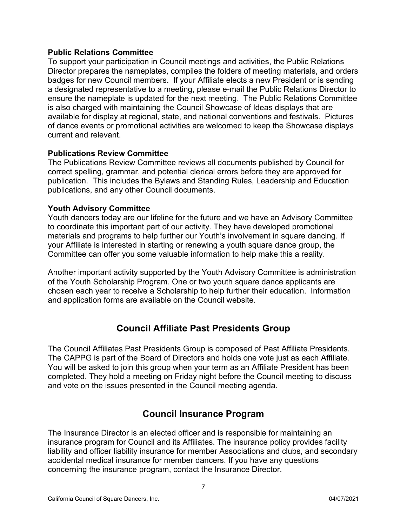#### **Public Relations Committee**

To support your participation in Council meetings and activities, the Public Relations Director prepares the nameplates, compiles the folders of meeting materials, and orders badges for new Council members. If your Affiliate elects a new President or is sending a designated representative to a meeting, please e-mail the Public Relations Director to ensure the nameplate is updated for the next meeting. The Public Relations Committee is also charged with maintaining the Council Showcase of Ideas displays that are available for display at regional, state, and national conventions and festivals. Pictures of dance events or promotional activities are welcomed to keep the Showcase displays current and relevant.

#### **Publications Review Committee**

The Publications Review Committee reviews all documents published by Council for correct spelling, grammar, and potential clerical errors before they are approved for publication. This includes the Bylaws and Standing Rules, Leadership and Education publications, and any other Council documents.

#### **Youth Advisory Committee**

Youth dancers today are our lifeline for the future and we have an Advisory Committee to coordinate this important part of our activity. They have developed promotional materials and programs to help further our Youth's involvement in square dancing. If your Affiliate is interested in starting or renewing a youth square dance group, the Committee can offer you some valuable information to help make this a reality.

Another important activity supported by the Youth Advisory Committee is administration of the Youth Scholarship Program. One or two youth square dance applicants are chosen each year to receive a Scholarship to help further their education. Information and application forms are available on the Council website.

## **Council Affiliate Past Presidents Group**

The Council Affiliates Past Presidents Group is composed of Past Affiliate Presidents. The CAPPG is part of the Board of Directors and holds one vote just as each Affiliate. You will be asked to join this group when your term as an Affiliate President has been completed. They hold a meeting on Friday night before the Council meeting to discuss and vote on the issues presented in the Council meeting agenda.

## **Council Insurance Program**

The Insurance Director is an elected officer and is responsible for maintaining an insurance program for Council and its Affiliates. The insurance policy provides facility liability and officer liability insurance for member Associations and clubs, and secondary accidental medical insurance for member dancers. If you have any questions concerning the insurance program, contact the Insurance Director.